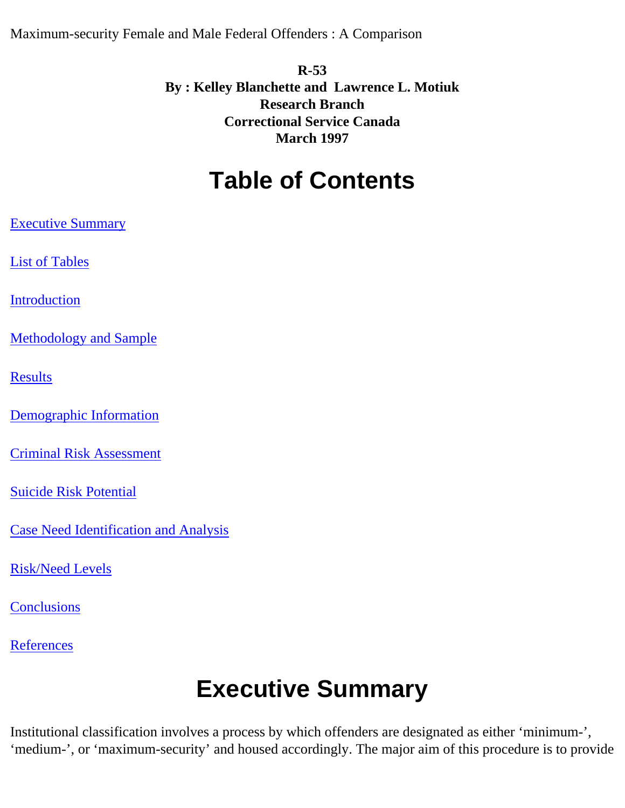<span id="page-0-1"></span>Maximum-security Female and Male Federal Offenders : A Comparison

#### **R-53 By : Kelley Blanchette and Lawrence L. Motiuk Research Branch Correctional Service Canada March 1997**

### **Table of Contents**

[Executive Summary](#page-0-0)

[List of Tables](#page-1-0)

[Introduction](#page-0-1)

[Methodology and Sample](#page-0-1)

[Results](#page-3-0)

[Demographic Information](#page-3-1)

[Criminal Risk Assessment](#page-3-2)

[Suicide Risk Potential](#page-5-0)

[Case Need Identification and Analysis](#page-5-1)

[Risk/Need Levels](#page-8-0)

**[Conclusions](#page-9-0)** 

<span id="page-0-0"></span>**[References](#page-10-0)** 

## **Executive Summary**

Institutional classification involves a process by which offenders are designated as either 'minimum-', 'medium-', or 'maximum-security' and housed accordingly. The major aim of this procedure is to provide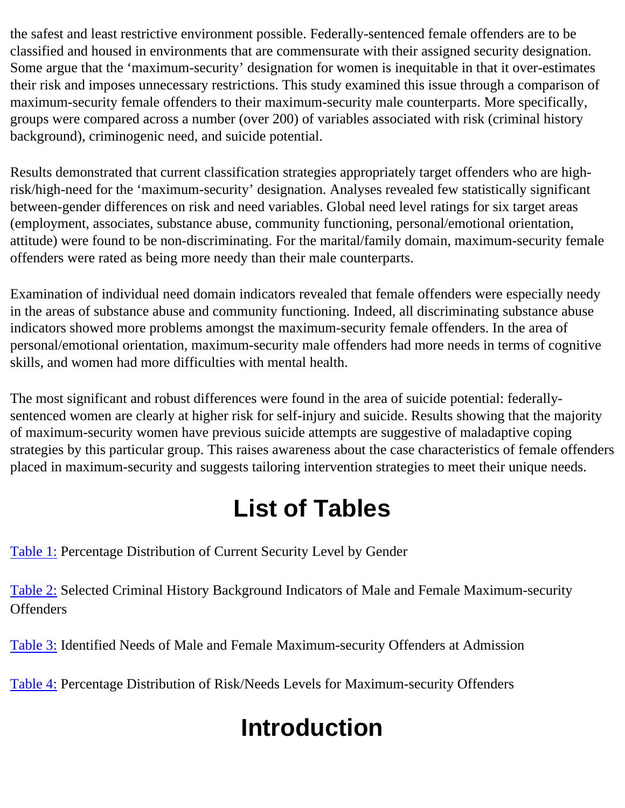the safest and least restrictive environment possible. Federally-sentenced female offenders are to be classified and housed in environments that are commensurate with their assigned security designation. Some argue that the 'maximum-security' designation for women is inequitable in that it over-estimates their risk and imposes unnecessary restrictions. This study examined this issue through a comparison of maximum-security female offenders to their maximum-security male counterparts. More specifically, groups were compared across a number (over 200) of variables associated with risk (criminal history background), criminogenic need, and suicide potential.

Results demonstrated that current classification strategies appropriately target offenders who are highrisk/high-need for the 'maximum-security' designation. Analyses revealed few statistically significant between-gender differences on risk and need variables. Global need level ratings for six target areas (employment, associates, substance abuse, community functioning, personal/emotional orientation, attitude) were found to be non-discriminating. For the marital/family domain, maximum-security female offenders were rated as being more needy than their male counterparts.

Examination of individual need domain indicators revealed that female offenders were especially needy in the areas of substance abuse and community functioning. Indeed, all discriminating substance abuse indicators showed more problems amongst the maximum-security female offenders. In the area of personal/emotional orientation, maximum-security male offenders had more needs in terms of cognitive skills, and women had more difficulties with mental health.

The most significant and robust differences were found in the area of suicide potential: federallysentenced women are clearly at higher risk for self-injury and suicide. Results showing that the majority of maximum-security women have previous suicide attempts are suggestive of maladaptive coping strategies by this particular group. This raises awareness about the case characteristics of female offenders placed in maximum-security and suggests tailoring intervention strategies to meet their unique needs.

## **List of Tables**

<span id="page-1-0"></span>[Table 1:](#page-2-0) Percentage Distribution of Current Security Level by Gender

[Table 2:](#page-4-0) Selected Criminal History Background Indicators of Male and Female Maximum-security **Offenders** 

[Table 3:](#page-6-0) Identified Needs of Male and Female Maximum-security Offenders at Admission

[Table 4:](#page-8-1) Percentage Distribution of Risk/Needs Levels for Maximum-security Offenders

# **Introduction**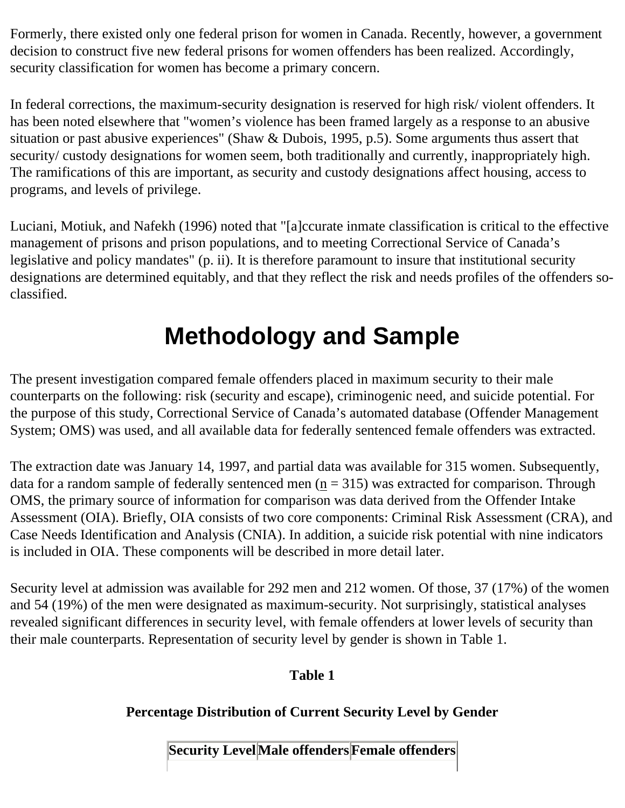Formerly, there existed only one federal prison for women in Canada. Recently, however, a government decision to construct five new federal prisons for women offenders has been realized. Accordingly, security classification for women has become a primary concern.

In federal corrections, the maximum-security designation is reserved for high risk/ violent offenders. It has been noted elsewhere that "women's violence has been framed largely as a response to an abusive situation or past abusive experiences" (Shaw & Dubois, 1995, p.5). Some arguments thus assert that security/ custody designations for women seem, both traditionally and currently, inappropriately high. The ramifications of this are important, as security and custody designations affect housing, access to programs, and levels of privilege.

Luciani, Motiuk, and Nafekh (1996) noted that "[a]ccurate inmate classification is critical to the effective management of prisons and prison populations, and to meeting Correctional Service of Canada's legislative and policy mandates" (p. ii). It is therefore paramount to insure that institutional security designations are determined equitably, and that they reflect the risk and needs profiles of the offenders soclassified.

## **Methodology and Sample**

The present investigation compared female offenders placed in maximum security to their male counterparts on the following: risk (security and escape), criminogenic need, and suicide potential. For the purpose of this study, Correctional Service of Canada's automated database (Offender Management System; OMS) was used, and all available data for federally sentenced female offenders was extracted.

The extraction date was January 14, 1997, and partial data was available for 315 women. Subsequently, data for a random sample of federally sentenced men  $(n = 315)$  was extracted for comparison. Through OMS, the primary source of information for comparison was data derived from the Offender Intake Assessment (OIA). Briefly, OIA consists of two core components: Criminal Risk Assessment (CRA), and Case Needs Identification and Analysis (CNIA). In addition, a suicide risk potential with nine indicators is included in OIA. These components will be described in more detail later.

<span id="page-2-0"></span>Security level at admission was available for 292 men and 212 women. Of those, 37 (17%) of the women and 54 (19%) of the men were designated as maximum-security. Not surprisingly, statistical analyses revealed significant differences in security level, with female offenders at lower levels of security than their male counterparts. Representation of security level by gender is shown in Table 1.

#### **Table 1**

#### **Percentage Distribution of Current Security Level by Gender**

**Security LevelMale offenders Female offenders**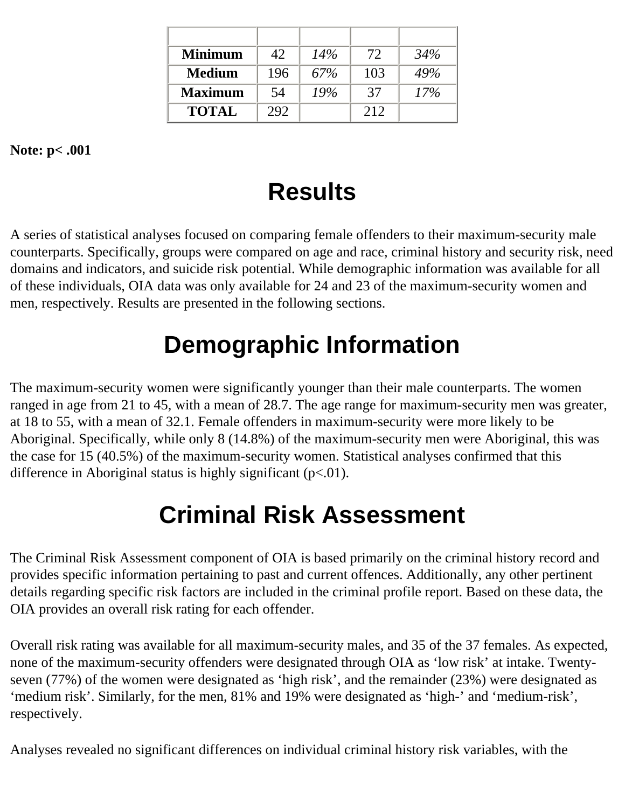| <b>Minimum</b> | 42  | 14% | 72  | 34% |
|----------------|-----|-----|-----|-----|
| <b>Medium</b>  | 196 | 67% | 103 | 49% |
| <b>Maximum</b> | 54  | 19% | 37  | 17% |
| <b>TOTAL</b>   | 292 |     | 212 |     |

<span id="page-3-0"></span>**Note: p< .001**

## **Results**

A series of statistical analyses focused on comparing female offenders to their maximum-security male counterparts. Specifically, groups were compared on age and race, criminal history and security risk, need domains and indicators, and suicide risk potential. While demographic information was available for all of these individuals, OIA data was only available for 24 and 23 of the maximum-security women and men, respectively. Results are presented in the following sections.

### **Demographic Information**

<span id="page-3-1"></span>The maximum-security women were significantly younger than their male counterparts. The women ranged in age from 21 to 45, with a mean of 28.7. The age range for maximum-security men was greater, at 18 to 55, with a mean of 32.1. Female offenders in maximum-security were more likely to be Aboriginal. Specifically, while only 8 (14.8%) of the maximum-security men were Aboriginal, this was the case for 15 (40.5%) of the maximum-security women. Statistical analyses confirmed that this difference in Aboriginal status is highly significant  $(p<.01)$ .

## **Criminal Risk Assessment**

<span id="page-3-2"></span>The Criminal Risk Assessment component of OIA is based primarily on the criminal history record and provides specific information pertaining to past and current offences. Additionally, any other pertinent details regarding specific risk factors are included in the criminal profile report. Based on these data, the OIA provides an overall risk rating for each offender.

Overall risk rating was available for all maximum-security males, and 35 of the 37 females. As expected, none of the maximum-security offenders were designated through OIA as 'low risk' at intake. Twentyseven (77%) of the women were designated as 'high risk', and the remainder (23%) were designated as 'medium risk'. Similarly, for the men, 81% and 19% were designated as 'high-' and 'medium-risk', respectively.

Analyses revealed no significant differences on individual criminal history risk variables, with the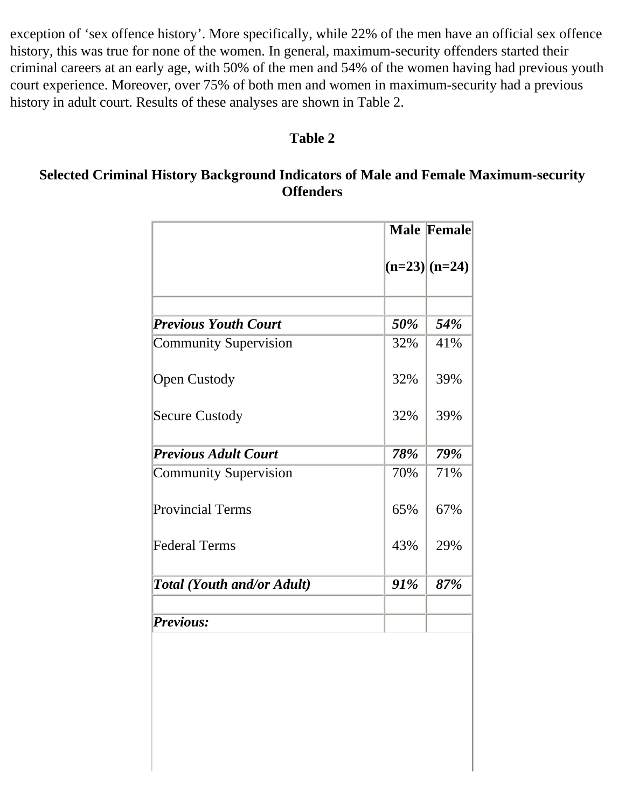exception of 'sex offence history'. More specifically, while 22% of the men have an official sex offence history, this was true for none of the women. In general, maximum-security offenders started their criminal careers at an early age, with 50% of the men and 54% of the women having had previous youth court experience. Moreover, over 75% of both men and women in maximum-security had a previous history in adult court. Results of these analyses are shown in Table 2.

#### **Table 2**

#### <span id="page-4-0"></span>**Selected Criminal History Background Indicators of Male and Female Maximum-security Offenders**

|                                   |     | <b>Male Female</b> |  |
|-----------------------------------|-----|--------------------|--|
|                                   |     | $(n=23)(n=24)$     |  |
| <b>Previous Youth Court</b>       | 50% | 54%                |  |
| Community Supervision             | 32% | 41%                |  |
| <b>Open Custody</b>               | 32% | 39%                |  |
| Secure Custody                    | 32% | 39%                |  |
| <b>Previous Adult Court</b>       | 78% | 79%                |  |
| Community Supervision             | 70% | 71%                |  |
| Provincial Terms                  | 65% | 67%                |  |
| Federal Terms                     | 43% | 29%                |  |
| <b>Total (Youth and/or Adult)</b> | 91% | 87%                |  |
| <i>Previous:</i>                  |     |                    |  |
|                                   |     |                    |  |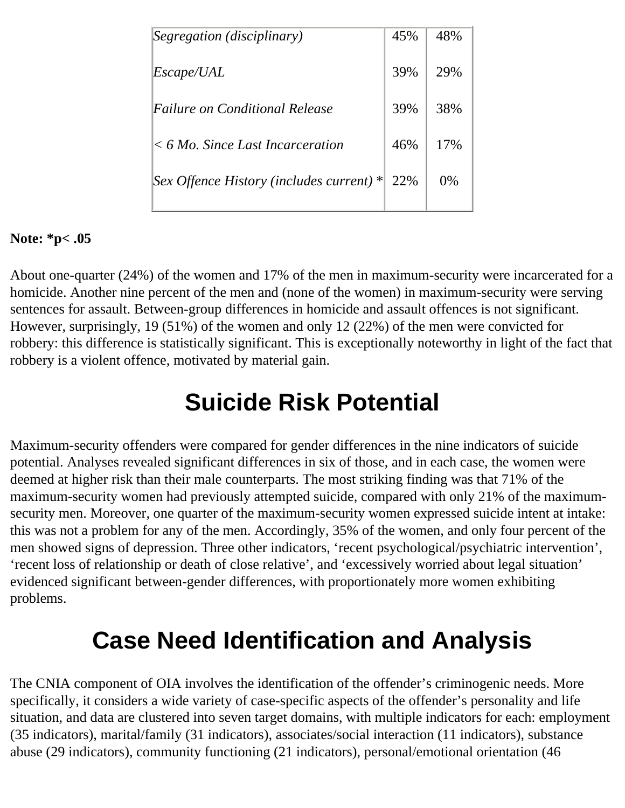| Segregation (disciplinary)                 | 45% | 48%   |
|--------------------------------------------|-----|-------|
| Escape/UAL                                 | 39% | 29%   |
| Failure on Conditional Release             | 39% | 38%   |
| $<$ 6 Mo. Since Last Incarceration         | 46% | 17%   |
| Sex Offence History (includes current) $*$ | 22% | $0\%$ |

#### **Note: \*p< .05**

About one-quarter (24%) of the women and 17% of the men in maximum-security were incarcerated for a homicide. Another nine percent of the men and (none of the women) in maximum-security were serving sentences for assault. Between-group differences in homicide and assault offences is not significant. However, surprisingly, 19 (51%) of the women and only 12 (22%) of the men were convicted for robbery: this difference is statistically significant. This is exceptionally noteworthy in light of the fact that robbery is a violent offence, motivated by material gain.

### **Suicide Risk Potential**

<span id="page-5-0"></span>Maximum-security offenders were compared for gender differences in the nine indicators of suicide potential. Analyses revealed significant differences in six of those, and in each case, the women were deemed at higher risk than their male counterparts. The most striking finding was that 71% of the maximum-security women had previously attempted suicide, compared with only 21% of the maximumsecurity men. Moreover, one quarter of the maximum-security women expressed suicide intent at intake: this was not a problem for any of the men. Accordingly, 35% of the women, and only four percent of the men showed signs of depression. Three other indicators, 'recent psychological/psychiatric intervention', 'recent loss of relationship or death of close relative', and 'excessively worried about legal situation' evidenced significant between-gender differences, with proportionately more women exhibiting problems.

### **Case Need Identification and Analysis**

<span id="page-5-1"></span>The CNIA component of OIA involves the identification of the offender's criminogenic needs. More specifically, it considers a wide variety of case-specific aspects of the offender's personality and life situation, and data are clustered into seven target domains, with multiple indicators for each: employment (35 indicators), marital/family (31 indicators), associates/social interaction (11 indicators), substance abuse (29 indicators), community functioning (21 indicators), personal/emotional orientation (46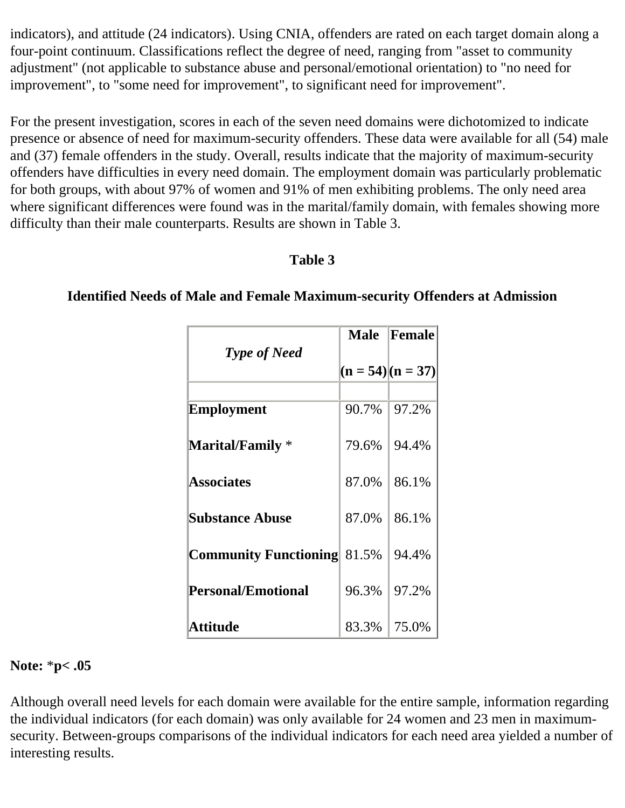indicators), and attitude (24 indicators). Using CNIA, offenders are rated on each target domain along a four-point continuum. Classifications reflect the degree of need, ranging from "asset to community adjustment" (not applicable to substance abuse and personal/emotional orientation) to "no need for improvement", to "some need for improvement", to significant need for improvement".

For the present investigation, scores in each of the seven need domains were dichotomized to indicate presence or absence of need for maximum-security offenders. These data were available for all (54) male and (37) female offenders in the study. Overall, results indicate that the majority of maximum-security offenders have difficulties in every need domain. The employment domain was particularly problematic for both groups, with about 97% of women and 91% of men exhibiting problems. The only need area where significant differences were found was in the marital/family domain, with females showing more difficulty than their male counterparts. Results are shown in Table 3.

#### **Table 3**

#### *Type of Need* **Male**  $(n = 54)$ |(n = 37) **Female Employment Marital/Family** \* **Associates Substance Abuse Community Functioning** 81.5% **Personal/Emotional Attitude** 90.7% 79.6% 87.0% 87.0% 96.3% 83.3% 97.2% 94.4% 86.1% 86.1% 94.4% 97.2% 75.0%

#### <span id="page-6-0"></span>**Identified Needs of Male and Female Maximum-security Offenders at Admission**

#### **Note:** \***p< .05**

Although overall need levels for each domain were available for the entire sample, information regarding the individual indicators (for each domain) was only available for 24 women and 23 men in maximumsecurity. Between-groups comparisons of the individual indicators for each need area yielded a number of interesting results.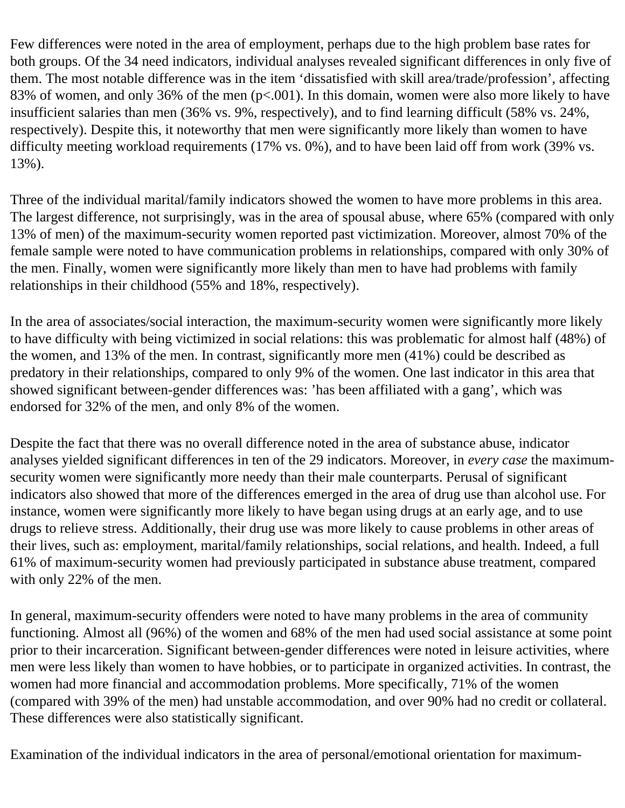Few differences were noted in the area of employment, perhaps due to the high problem base rates for both groups. Of the 34 need indicators, individual analyses revealed significant differences in only five of them. The most notable difference was in the item 'dissatisfied with skill area/trade/profession', affecting 83% of women, and only 36% of the men (p<.001). In this domain, women were also more likely to have insufficient salaries than men (36% vs. 9%, respectively), and to find learning difficult (58% vs. 24%, respectively). Despite this, it noteworthy that men were significantly more likely than women to have difficulty meeting workload requirements (17% vs. 0%), and to have been laid off from work (39% vs. 13%).

Three of the individual marital/family indicators showed the women to have more problems in this area. The largest difference, not surprisingly, was in the area of spousal abuse, where 65% (compared with only 13% of men) of the maximum-security women reported past victimization. Moreover, almost 70% of the female sample were noted to have communication problems in relationships, compared with only 30% of the men. Finally, women were significantly more likely than men to have had problems with family relationships in their childhood (55% and 18%, respectively).

In the area of associates/social interaction, the maximum-security women were significantly more likely to have difficulty with being victimized in social relations: this was problematic for almost half (48%) of the women, and 13% of the men. In contrast, significantly more men (41%) could be described as predatory in their relationships, compared to only 9% of the women. One last indicator in this area that showed significant between-gender differences was: 'has been affiliated with a gang', which was endorsed for 32% of the men, and only 8% of the women.

Despite the fact that there was no overall difference noted in the area of substance abuse, indicator analyses yielded significant differences in ten of the 29 indicators. Moreover, in *every case* the maximumsecurity women were significantly more needy than their male counterparts. Perusal of significant indicators also showed that more of the differences emerged in the area of drug use than alcohol use. For instance, women were significantly more likely to have began using drugs at an early age, and to use drugs to relieve stress. Additionally, their drug use was more likely to cause problems in other areas of their lives, such as: employment, marital/family relationships, social relations, and health. Indeed, a full 61% of maximum-security women had previously participated in substance abuse treatment, compared with only 22% of the men.

In general, maximum-security offenders were noted to have many problems in the area of community functioning. Almost all (96%) of the women and 68% of the men had used social assistance at some point prior to their incarceration. Significant between-gender differences were noted in leisure activities, where men were less likely than women to have hobbies, or to participate in organized activities. In contrast, the women had more financial and accommodation problems. More specifically, 71% of the women (compared with 39% of the men) had unstable accommodation, and over 90% had no credit or collateral. These differences were also statistically significant.

Examination of the individual indicators in the area of personal/emotional orientation for maximum-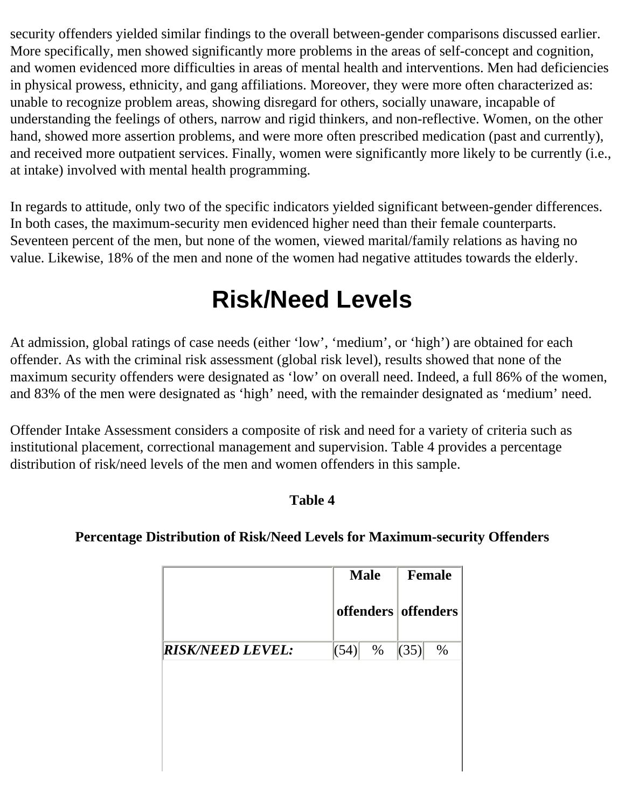security offenders yielded similar findings to the overall between-gender comparisons discussed earlier. More specifically, men showed significantly more problems in the areas of self-concept and cognition, and women evidenced more difficulties in areas of mental health and interventions. Men had deficiencies in physical prowess, ethnicity, and gang affiliations. Moreover, they were more often characterized as: unable to recognize problem areas, showing disregard for others, socially unaware, incapable of understanding the feelings of others, narrow and rigid thinkers, and non-reflective. Women, on the other hand, showed more assertion problems, and were more often prescribed medication (past and currently), and received more outpatient services. Finally, women were significantly more likely to be currently (i.e., at intake) involved with mental health programming.

<span id="page-8-0"></span>In regards to attitude, only two of the specific indicators yielded significant between-gender differences. In both cases, the maximum-security men evidenced higher need than their female counterparts. Seventeen percent of the men, but none of the women, viewed marital/family relations as having no value. Likewise, 18% of the men and none of the women had negative attitudes towards the elderly.

### **Risk/Need Levels**

At admission, global ratings of case needs (either 'low', 'medium', or 'high') are obtained for each offender. As with the criminal risk assessment (global risk level), results showed that none of the maximum security offenders were designated as 'low' on overall need. Indeed, a full 86% of the women, and 83% of the men were designated as 'high' need, with the remainder designated as 'medium' need.

<span id="page-8-1"></span>Offender Intake Assessment considers a composite of risk and need for a variety of criteria such as institutional placement, correctional management and supervision. Table 4 provides a percentage distribution of risk/need levels of the men and women offenders in this sample.

#### **Table 4**

#### **Percentage Distribution of Risk/Need Levels for Maximum-security Offenders**

| <b>Male</b> | <b>Female</b>       |
|-------------|---------------------|
|             | offenders offenders |
| (54)        | (35)<br>$\%$        |
|             |                     |
|             |                     |
|             |                     |
|             | %                   |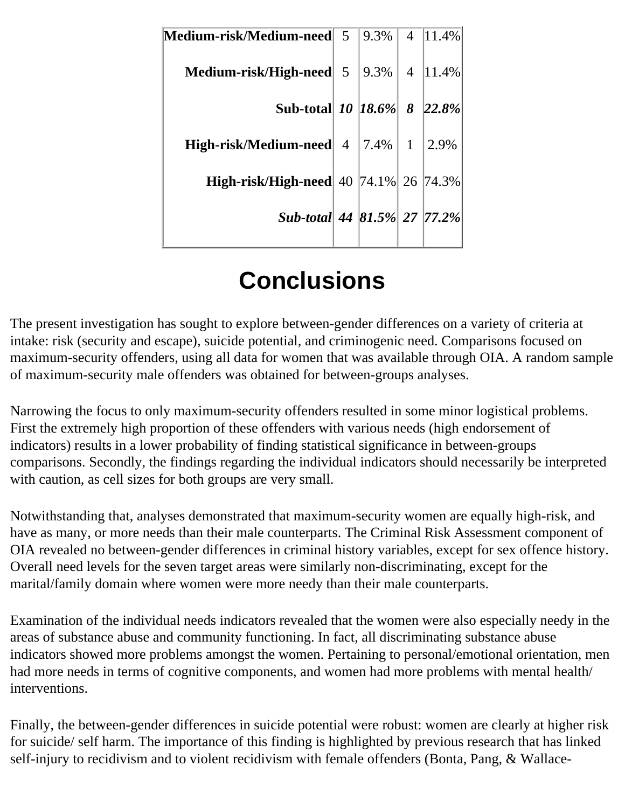| Medium-risk/Medium-need 5 9.3%        |  | 4   $11.4\%$           |
|---------------------------------------|--|------------------------|
| Medium-risk/High-need 5 9.3%          |  | $4 \vert 11.4\% \vert$ |
| Sub-total 10 18.6% 8 22.8%            |  |                        |
| High-risk/Medium-need 4   7.4%        |  | $1 \mid 2.9\%$         |
| High-risk/High-need 40 74.1% 26 74.3% |  |                        |
| Sub-total 44 81.5% 27 77.2%           |  |                        |
|                                       |  |                        |

## **Conclusions**

<span id="page-9-0"></span>The present investigation has sought to explore between-gender differences on a variety of criteria at intake: risk (security and escape), suicide potential, and criminogenic need. Comparisons focused on maximum-security offenders, using all data for women that was available through OIA. A random sample of maximum-security male offenders was obtained for between-groups analyses.

Narrowing the focus to only maximum-security offenders resulted in some minor logistical problems. First the extremely high proportion of these offenders with various needs (high endorsement of indicators) results in a lower probability of finding statistical significance in between-groups comparisons. Secondly, the findings regarding the individual indicators should necessarily be interpreted with caution, as cell sizes for both groups are very small.

Notwithstanding that, analyses demonstrated that maximum-security women are equally high-risk, and have as many, or more needs than their male counterparts. The Criminal Risk Assessment component of OIA revealed no between-gender differences in criminal history variables, except for sex offence history. Overall need levels for the seven target areas were similarly non-discriminating, except for the marital/family domain where women were more needy than their male counterparts.

Examination of the individual needs indicators revealed that the women were also especially needy in the areas of substance abuse and community functioning. In fact, all discriminating substance abuse indicators showed more problems amongst the women. Pertaining to personal/emotional orientation, men had more needs in terms of cognitive components, and women had more problems with mental health/ interventions.

Finally, the between-gender differences in suicide potential were robust: women are clearly at higher risk for suicide/ self harm. The importance of this finding is highlighted by previous research that has linked self-injury to recidivism and to violent recidivism with female offenders (Bonta, Pang, & Wallace